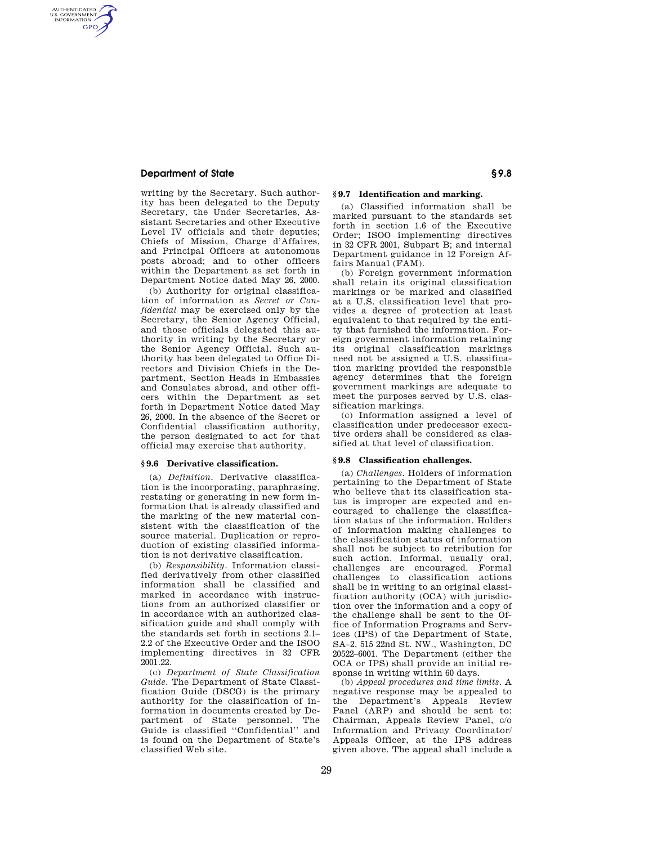# **Department of State § 9.8**

AUTHENTICATED<br>U.S. GOVERNMENT<br>INFORMATION **GPO** 

> writing by the Secretary. Such authority has been delegated to the Deputy Secretary, the Under Secretaries, Assistant Secretaries and other Executive Level IV officials and their deputies; Chiefs of Mission, Charge d'Affaires, and Principal Officers at autonomous posts abroad; and to other officers within the Department as set forth in Department Notice dated May 26, 2000.

> (b) Authority for original classification of information as *Secret or Confidential* may be exercised only by the Secretary, the Senior Agency Official, and those officials delegated this authority in writing by the Secretary or the Senior Agency Official. Such authority has been delegated to Office Directors and Division Chiefs in the Department, Section Heads in Embassies and Consulates abroad, and other officers within the Department as set forth in Department Notice dated May 26, 2000. In the absence of the Secret or Confidential classification authority, the person designated to act for that official may exercise that authority.

## **§ 9.6 Derivative classification.**

(a) *Definition.* Derivative classification is the incorporating, paraphrasing, restating or generating in new form information that is already classified and the marking of the new material consistent with the classification of the source material. Duplication or reproduction of existing classified information is not derivative classification.

(b) *Responsibility.* Information classified derivatively from other classified information shall be classified and marked in accordance with instructions from an authorized classifier or in accordance with an authorized classification guide and shall comply with the standards set forth in sections 2.1– 2.2 of the Executive Order and the ISOO implementing directives in 32 CFR 2001.22.

(c) *Department of State Classification Guide.* The Department of State Classification Guide (DSCG) is the primary authority for the classification of information in documents created by Department of State personnel. The Guide is classified ''Confidential'' and is found on the Department of State's classified Web site.

# **§ 9.7 Identification and marking.**

(a) Classified information shall be marked pursuant to the standards set forth in section 1.6 of the Executive Order; ISOO implementing directives in 32 CFR 2001, Subpart B; and internal Department guidance in 12 Foreign Affairs Manual (FAM).

(b) Foreign government information shall retain its original classification markings or be marked and classified at a U.S. classification level that provides a degree of protection at least equivalent to that required by the entity that furnished the information. Foreign government information retaining its original classification markings need not be assigned a U.S. classification marking provided the responsible agency determines that the foreign government markings are adequate to meet the purposes served by U.S. classification markings.

(c) Information assigned a level of classification under predecessor executive orders shall be considered as classified at that level of classification.

### **§ 9.8 Classification challenges.**

(a) *Challenges.* Holders of information pertaining to the Department of State who believe that its classification status is improper are expected and encouraged to challenge the classification status of the information. Holders of information making challenges to the classification status of information shall not be subject to retribution for such action. Informal, usually oral, challenges are encouraged. Formal challenges to classification actions shall be in writing to an original classification authority (OCA) with jurisdiction over the information and a copy of the challenge shall be sent to the Office of Information Programs and Services (IPS) of the Department of State, SA–2, 515 22nd St. NW., Washington, DC 20522–6001. The Department (either the OCA or IPS) shall provide an initial response in writing within 60 days.

(b) *Appeal procedures and time limits.* A negative response may be appealed to the Department's Appeals Review Panel (ARP) and should be sent to: Chairman, Appeals Review Panel, c/o Information and Privacy Coordinator/ Appeals Officer, at the IPS address given above. The appeal shall include a